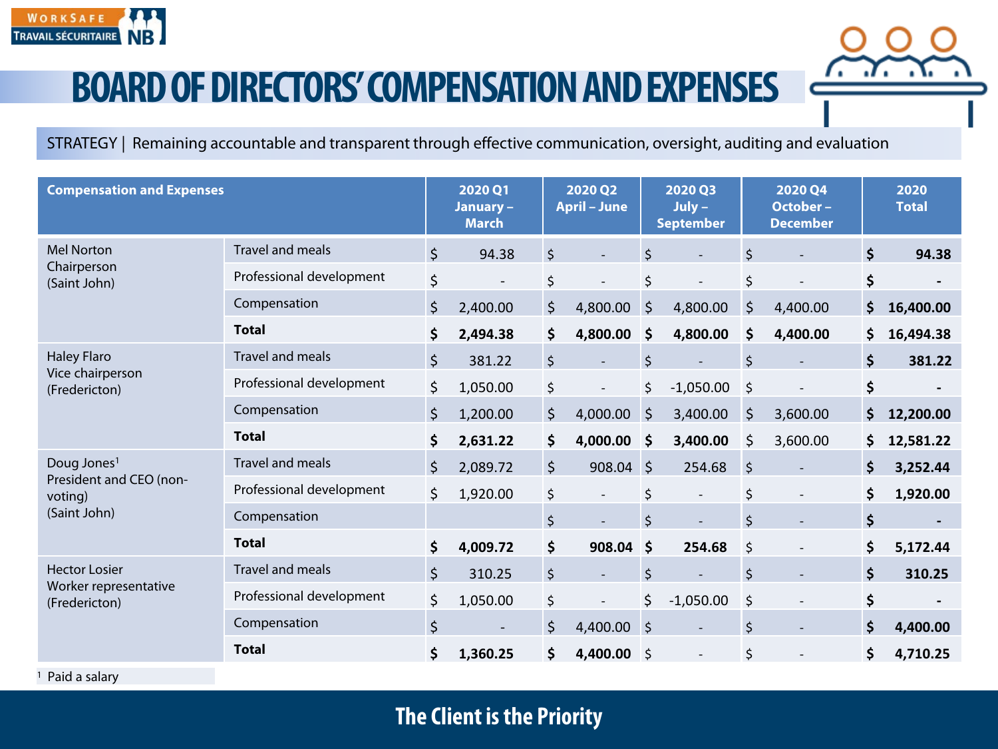

## **BOARD OF DIRECTORS' COMPENSATION AND EXPENSES**

STRATEGY | Remaining accountable and transparent through effective communication, oversight, auditing and evaluation

| <b>Compensation and Expenses</b>                                              |                          |         | 2020 Q1<br>January-<br><b>March</b> |         | 2020 Q2<br><b>April - June</b> |                    | 2020 Q3<br>$July -$<br><b>September</b> |         | 2020 Q4<br>October-<br><b>December</b> | 2020<br><b>Total</b>           |
|-------------------------------------------------------------------------------|--------------------------|---------|-------------------------------------|---------|--------------------------------|--------------------|-----------------------------------------|---------|----------------------------------------|--------------------------------|
| <b>Mel Norton</b><br>Chairperson<br>(Saint John)                              | Travel and meals         | $\zeta$ | 94.38                               | $\zeta$ |                                | $\zeta$            |                                         | $\zeta$ |                                        | \$<br>94.38                    |
|                                                                               | Professional development | \$      |                                     | $\zeta$ |                                | \$                 |                                         | $\zeta$ |                                        | \$                             |
|                                                                               | Compensation             | $\zeta$ | 2,400.00                            | $\zeta$ | 4,800.00                       | $\zeta$            | 4,800.00                                | $\zeta$ | 4,400.00                               | \$<br>16,400.00                |
|                                                                               | <b>Total</b>             | \$      | 2,494.38                            | \$      | 4,800.00                       | \$                 | 4,800.00                                | \$      | 4,400.00                               | \$<br>16,494.38                |
| Haley Flaro<br>Vice chairperson<br>(Fredericton)                              | Travel and meals         | \$      | 381.22                              | $\zeta$ |                                | $\zeta$            |                                         | $\zeta$ |                                        | \$<br>381.22                   |
|                                                                               | Professional development | \$      | 1,050.00                            | \$      | $\overline{\phantom{a}}$       | \$                 | $-1,050.00$                             | $\zeta$ |                                        | \$                             |
|                                                                               | Compensation             | $\zeta$ | 1,200.00                            | \$      | 4,000.00                       | $\zeta$            | 3,400.00                                | $\zeta$ | 3,600.00                               | \$<br>12,200.00                |
|                                                                               | <b>Total</b>             | \$      | 2,631.22                            | \$      | 4,000.00                       | \$                 | 3,400.00                                | $\zeta$ | 3,600.00                               | \$<br>12,581.22                |
| Doug Jones <sup>1</sup><br>President and CEO (non-<br>voting)<br>(Saint John) | Travel and meals         | $\zeta$ | 2,089.72                            | $\zeta$ | $908.04$ \$                    |                    | 254.68                                  | $\zeta$ |                                        | \$<br>3,252.44                 |
|                                                                               | Professional development | \$      | 1,920.00                            | \$      |                                | \$                 | $\overline{\phantom{a}}$                | \$      |                                        | \$<br>1,920.00                 |
|                                                                               | Compensation             |         |                                     | \$      |                                | $\zeta$            |                                         | $\zeta$ |                                        | \$                             |
|                                                                               | <b>Total</b>             | \$      | 4,009.72                            | \$      | 908.04                         | $\dot{\mathsf{s}}$ | 254.68                                  | $\zeta$ |                                        | \$<br>5,172.44                 |
| <b>Hector Losier</b><br>Worker representative<br>(Fredericton)                | Travel and meals         | \$      | 310.25                              | $\zeta$ | $\overline{\phantom{a}}$       | $\zeta$            |                                         | \$      |                                        | \$<br>310.25                   |
|                                                                               | Professional development | \$      | 1,050.00                            | \$      | $\overline{\phantom{a}}$       | \$                 | $-1,050.00$                             | \$      |                                        | \$<br>$\overline{\phantom{a}}$ |
|                                                                               | Compensation             | \$      | $\overline{\phantom{a}}$            | $\zeta$ | 4,400.00                       | $\zeta$            |                                         | $\zeta$ |                                        | \$<br>4,400.00                 |
|                                                                               | <b>Total</b>             | \$      | 1,360.25                            | \$      | 4,400.00                       | \$                 | $\overline{\phantom{a}}$                | \$      |                                        | \$<br>4,710.25                 |

<sup>1</sup> Paid a salary

## **The Client is the Priority**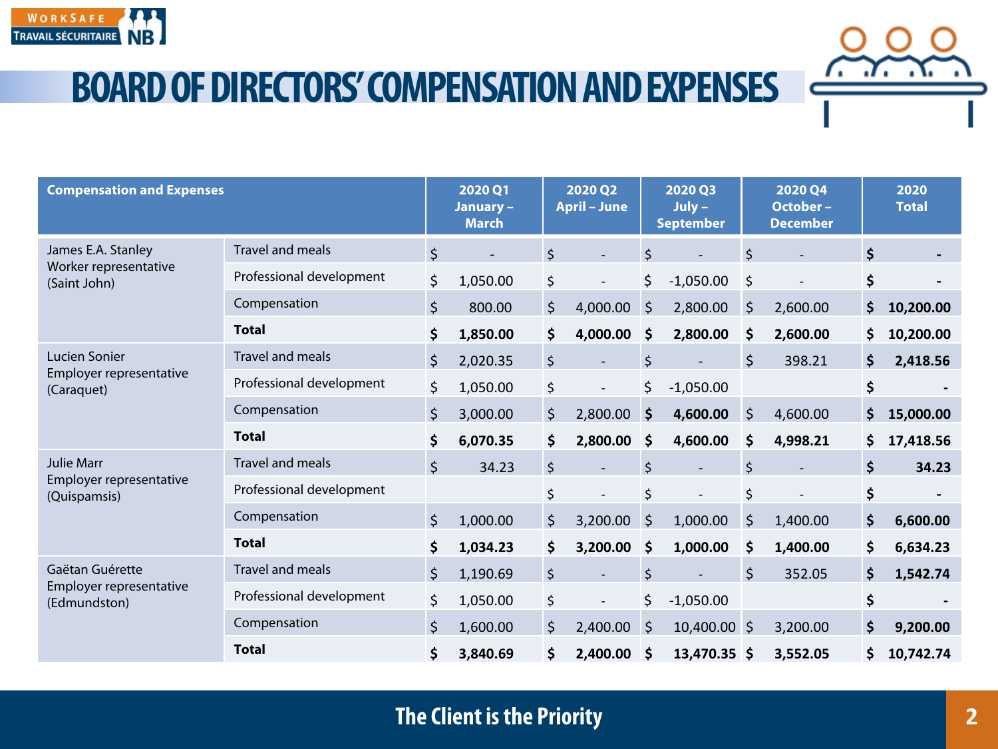

**BOARD OF DIRECTORS' COMPENSATION AND EXPENSES**

| <b>Compensation and Expenses</b>                             |                          |         | 2020 Q1<br>January-<br><b>March</b> |         | 2020 Q2<br><b>April - June</b> |         | 2020 Q3<br>$July -$<br><b>September</b> |         | 2020 Q4<br>October-<br><b>December</b> |                    | 2020<br><b>Total</b> |
|--------------------------------------------------------------|--------------------------|---------|-------------------------------------|---------|--------------------------------|---------|-----------------------------------------|---------|----------------------------------------|--------------------|----------------------|
| James E.A. Stanley<br>Worker representative<br>(Saint John)  | Travel and meals         | $\zeta$ |                                     | \$      |                                | \$      |                                         | $\zeta$ |                                        | \$                 |                      |
|                                                              | Professional development | \$      | 1,050.00                            | \$      |                                | \$      | $-1,050.00$                             | $\zeta$ |                                        | \$                 |                      |
|                                                              | Compensation             | $\zeta$ | 800.00                              | \$      | 4,000.00                       | $\zeta$ | 2,800.00                                | $\zeta$ | 2,600.00                               | \$                 | 10,200.00            |
|                                                              | <b>Total</b>             | \$      | 1,850.00                            | \$      | 4,000.00                       | \$      | 2,800.00                                | \$      | 2,600.00                               | \$                 | 10,200.00            |
| Lucien Sonier<br>Employer representative<br>(Caraquet)       | Travel and meals         | $\zeta$ | 2,020.35                            | $\zeta$ |                                | \$      |                                         | $\zeta$ | 398.21                                 | \$                 | 2,418.56             |
|                                                              | Professional development | \$      | 1,050.00                            | \$      | $\overline{\phantom{a}}$       | \$      | $-1,050.00$                             |         |                                        | \$                 |                      |
|                                                              | Compensation             | \$      | 3,000.00                            | \$      | 2,800.00                       | \$      | 4,600.00                                | \$      | 4,600.00                               | \$                 | 15,000.00            |
|                                                              | <b>Total</b>             | \$      | 6,070.35                            | \$      | 2,800.00                       | \$      | 4,600.00                                | \$      | 4,998.21                               | \$                 | 17,418.56            |
| <b>Julie Marr</b><br>Employer representative<br>(Quispamsis) | Travel and meals         | $\zeta$ | 34.23                               | \$      |                                | \$      |                                         | \$      |                                        | Ŝ.                 | 34.23                |
|                                                              | Professional development |         |                                     | \$      |                                | \$      |                                         | \$      |                                        | \$                 |                      |
|                                                              | Compensation             | $\zeta$ | 1,000.00                            | $\zeta$ | 3,200.00                       | $\zeta$ | 1,000.00                                | $\zeta$ | 1,400.00                               | $\mathsf{\hat{S}}$ | 6,600.00             |
|                                                              | <b>Total</b>             | \$      | 1,034.23                            | \$      | 3,200.00                       | \$      | 1,000.00                                | \$      | 1,400.00                               | \$                 | 6,634.23             |
| Gaëtan Guérette<br>Employer representative<br>(Edmundston)   | Travel and meals         | $\zeta$ | 1,190.69                            | \$      |                                | $\zeta$ |                                         | $\zeta$ | 352.05                                 | Ś                  | 1,542.74             |
|                                                              | Professional development | \$      | 1,050.00                            | \$      |                                | \$      | $-1,050.00$                             |         |                                        | \$                 |                      |
|                                                              | Compensation             | $\zeta$ | 1,600.00                            | $\zeta$ | 2,400.00                       | $\zeta$ | 10,400.00 \$                            |         | 3,200.00                               | \$                 | 9,200.00             |
|                                                              | <b>Total</b>             | \$      | 3,840.69                            | \$      | 2,400.00                       | \$      | 13,470.35 \$                            |         | 3,552.05                               | \$                 | 10,742.74            |

## **The Client is the Priority**

7. . 7. . X.